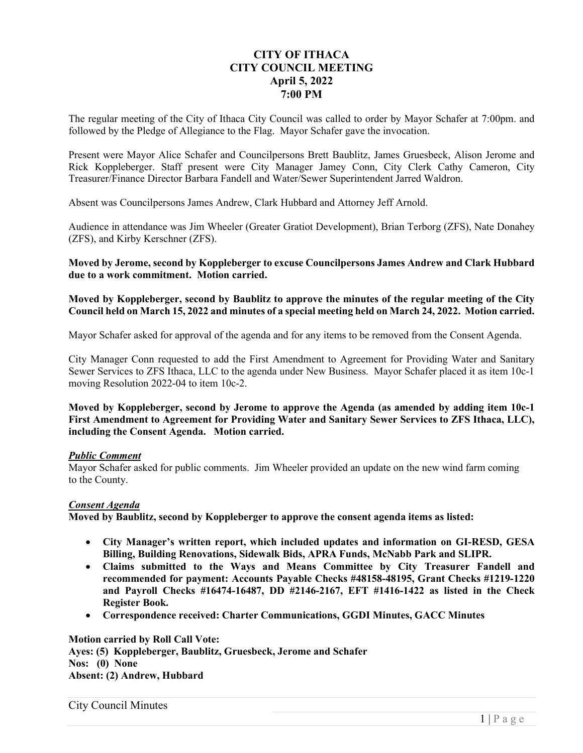# **CITY OF ITHACA CITY COUNCIL MEETING April 5, 2022 7:00 PM**

The regular meeting of the City of Ithaca City Council was called to order by Mayor Schafer at 7:00pm. and followed by the Pledge of Allegiance to the Flag. Mayor Schafer gave the invocation.

Present were Mayor Alice Schafer and Councilpersons Brett Baublitz, James Gruesbeck, Alison Jerome and Rick Koppleberger. Staff present were City Manager Jamey Conn, City Clerk Cathy Cameron, City Treasurer/Finance Director Barbara Fandell and Water/Sewer Superintendent Jarred Waldron.

Absent was Councilpersons James Andrew, Clark Hubbard and Attorney Jeff Arnold.

Audience in attendance was Jim Wheeler (Greater Gratiot Development), Brian Terborg (ZFS), Nate Donahey (ZFS), and Kirby Kerschner (ZFS).

**Moved by Jerome, second by Koppleberger to excuse Councilpersons James Andrew and Clark Hubbard due to a work commitment. Motion carried.** 

**Moved by Koppleberger, second by Baublitz to approve the minutes of the regular meeting of the City Council held on March 15, 2022 and minutes of a special meeting held on March 24, 2022. Motion carried.** 

Mayor Schafer asked for approval of the agenda and for any items to be removed from the Consent Agenda.

City Manager Conn requested to add the First Amendment to Agreement for Providing Water and Sanitary Sewer Services to ZFS Ithaca, LLC to the agenda under New Business. Mayor Schafer placed it as item 10c-1 moving Resolution 2022-04 to item 10c-2.

**Moved by Koppleberger, second by Jerome to approve the Agenda (as amended by adding item 10c-1 First Amendment to Agreement for Providing Water and Sanitary Sewer Services to ZFS Ithaca, LLC), including the Consent Agenda. Motion carried.** 

#### *Public Comment*

Mayor Schafer asked for public comments. Jim Wheeler provided an update on the new wind farm coming to the County.

#### *Consent Agenda*

**Moved by Baublitz, second by Koppleberger to approve the consent agenda items as listed:** 

- **City Manager's written report, which included updates and information on GI-RESD, GESA Billing, Building Renovations, Sidewalk Bids, APRA Funds, McNabb Park and SLIPR.**
- **Claims submitted to the Ways and Means Committee by City Treasurer Fandell and recommended for payment: Accounts Payable Checks #48158-48195, Grant Checks #1219-1220 and Payroll Checks #16474-16487, DD #2146-2167, EFT #1416-1422 as listed in the Check Register Book.**
- **Correspondence received: Charter Communications, GGDI Minutes, GACC Minutes**

**Motion carried by Roll Call Vote: Ayes: (5) Koppleberger, Baublitz, Gruesbeck, Jerome and Schafer Nos: (0) None Absent: (2) Andrew, Hubbard** 

City Council Minutes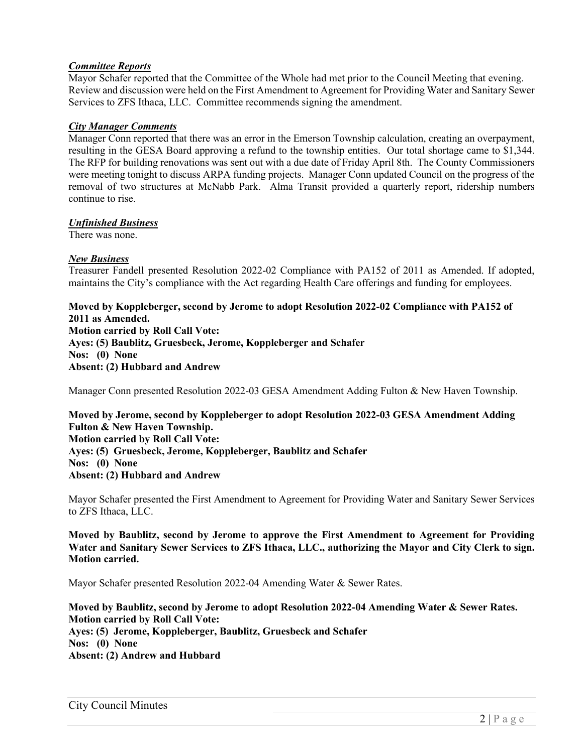### *Committee Reports*

Mayor Schafer reported that the Committee of the Whole had met prior to the Council Meeting that evening. Review and discussion were held on the First Amendment to Agreement for Providing Water and Sanitary Sewer Services to ZFS Ithaca, LLC. Committee recommends signing the amendment.

#### *City Manager Comments*

Manager Conn reported that there was an error in the Emerson Township calculation, creating an overpayment, resulting in the GESA Board approving a refund to the township entities. Our total shortage came to \$1,344. The RFP for building renovations was sent out with a due date of Friday April 8th. The County Commissioners were meeting tonight to discuss ARPA funding projects. Manager Conn updated Council on the progress of the removal of two structures at McNabb Park. Alma Transit provided a quarterly report, ridership numbers continue to rise.

# *Unfinished Business*

There was none.

# *New Business*

Treasurer Fandell presented Resolution 2022-02 Compliance with PA152 of 2011 as Amended. If adopted, maintains the City's compliance with the Act regarding Health Care offerings and funding for employees.

**Moved by Koppleberger, second by Jerome to adopt Resolution 2022-02 Compliance with PA152 of 2011 as Amended. Motion carried by Roll Call Vote: Ayes: (5) Baublitz, Gruesbeck, Jerome, Koppleberger and Schafer Nos: (0) None Absent: (2) Hubbard and Andrew** 

Manager Conn presented Resolution 2022-03 GESA Amendment Adding Fulton & New Haven Township.

**Moved by Jerome, second by Koppleberger to adopt Resolution 2022-03 GESA Amendment Adding Fulton & New Haven Township. Motion carried by Roll Call Vote: Ayes: (5) Gruesbeck, Jerome, Koppleberger, Baublitz and Schafer Nos: (0) None Absent: (2) Hubbard and Andrew** 

Mayor Schafer presented the First Amendment to Agreement for Providing Water and Sanitary Sewer Services to ZFS Ithaca, LLC.

**Moved by Baublitz, second by Jerome to approve the First Amendment to Agreement for Providing Water and Sanitary Sewer Services to ZFS Ithaca, LLC., authorizing the Mayor and City Clerk to sign. Motion carried.** 

Mayor Schafer presented Resolution 2022-04 Amending Water & Sewer Rates.

**Moved by Baublitz, second by Jerome to adopt Resolution 2022-04 Amending Water & Sewer Rates. Motion carried by Roll Call Vote: Ayes: (5) Jerome, Koppleberger, Baublitz, Gruesbeck and Schafer Nos: (0) None Absent: (2) Andrew and Hubbard**